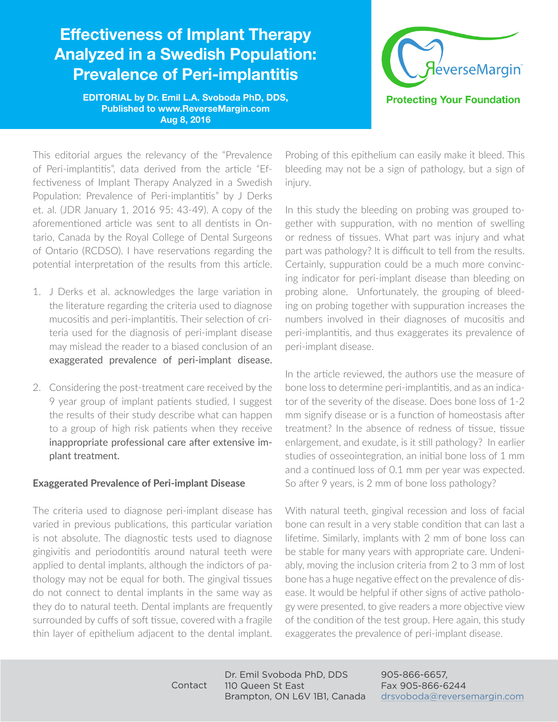# Effectiveness of Implant Therapy Analyzed in a Swedish Population: Prevalence of Peri-implantitis

éverseMargin<sup>®</sup> **Protecting Your Foundation** 

EDITORIAL by Dr. Emil L.A. Svoboda PhD, DDS, Published to www.ReverseMargin.com Aug 8, 2016

This editorial argues the relevancy of the "Prevalence of Peri-implantitis", data derived from the article "Effectiveness of Implant Therapy Analyzed in a Swedish Population: Prevalence of Peri-implantitis" by J Derks et. al. (JDR January 1, 2016 95: 43-49). A copy of the aforementioned article was sent to all dentists in Ontario, Canada by the Royal College of Dental Surgeons of Ontario (RCDSO). I have reservations regarding the potential interpretation of the results from this article.

- 1. J Derks et al. acknowledges the large variation in the literature regarding the criteria used to diagnose mucositis and peri-implantitis. Their selection of criteria used for the diagnosis of peri-implant disease may mislead the reader to a biased conclusion of an exaggerated prevalence of peri-implant disease.
- 2. Considering the post-treatment care received by the 9 year group of implant patients studied, I suggest the results of their study describe what can happen to a group of high risk patients when they receive inappropriate professional care after extensive implant treatment.

### **Exaggerated Prevalence of Peri-implant Disease**

The criteria used to diagnose peri-implant disease has varied in previous publications, this particular variation is not absolute. The diagnostic tests used to diagnose gingivitis and periodontitis around natural teeth were applied to dental implants, although the indictors of pathology may not be equal for both. The gingival tissues do not connect to dental implants in the same way as they do to natural teeth. Dental implants are frequently surrounded by cuffs of soft tissue, covered with a fragile thin layer of epithelium adjacent to the dental implant.

Probing of this epithelium can easily make it bleed. This bleeding may not be a sign of pathology, but a sign of injury.

In this study the bleeding on probing was grouped together with suppuration, with no mention of swelling or redness of tissues. What part was injury and what part was pathology? It is difficult to tell from the results. Certainly, suppuration could be a much more convincing indicator for peri-implant disease than bleeding on probing alone. Unfortunately, the grouping of bleeding on probing together with suppuration increases the numbers involved in their diagnoses of mucositis and peri-implantitis, and thus exaggerates its prevalence of peri-implant disease.

In the article reviewed, the authors use the measure of bone loss to determine peri-implantitis, and as an indicator of the severity of the disease. Does bone loss of 1-2 mm signify disease or is a function of homeostasis after treatment? In the absence of redness of tissue, tissue enlargement, and exudate, is it still pathology? In earlier studies of osseointegration, an initial bone loss of 1 mm and a continued loss of 0.1 mm per year was expected. So after 9 years, is 2 mm of bone loss pathology?

With natural teeth, gingival recession and loss of facial bone can result in a very stable condition that can last a lifetime. Similarly, implants with 2 mm of bone loss can be stable for many years with appropriate care. Undeniably, moving the inclusion criteria from 2 to 3 mm of lost bone has a huge negative effect on the prevalence of disease. It would be helpful if other signs of active pathology were presented, to give readers a more objective view of the condition of the test group. Here again, this study exaggerates the prevalence of peri-implant disease.

905-866-6657, Fax 905-866-6244 drsvoboda@reversemargin.com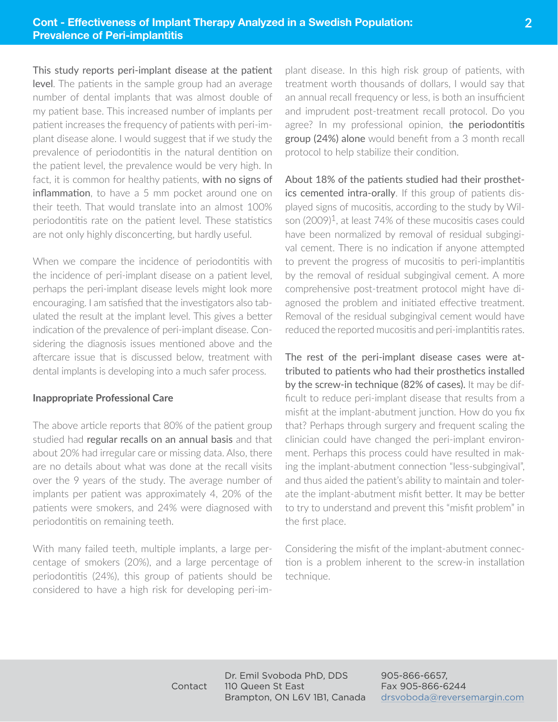This study reports peri-implant disease at the patient level. The patients in the sample group had an average number of dental implants that was almost double of my patient base. This increased number of implants per patient increases the frequency of patients with peri-implant disease alone. I would suggest that if we study the prevalence of periodontitis in the natural dentition on the patient level, the prevalence would be very high. In fact, it is common for healthy patients, with no signs of inflammation, to have a 5 mm pocket around one on their teeth. That would translate into an almost 100% periodontitis rate on the patient level. These statistics are not only highly disconcerting, but hardly useful.

When we compare the incidence of periodontitis with the incidence of peri-implant disease on a patient level, perhaps the peri-implant disease levels might look more encouraging. I am satisfied that the investigators also tabulated the result at the implant level. This gives a better indication of the prevalence of peri-implant disease. Considering the diagnosis issues mentioned above and the aftercare issue that is discussed below, treatment with dental implants is developing into a much safer process.

#### **Inappropriate Professional Care**

The above article reports that 80% of the patient group studied had regular recalls on an annual basis and that about 20% had irregular care or missing data. Also, there are no details about what was done at the recall visits over the 9 years of the study. The average number of implants per patient was approximately 4, 20% of the patients were smokers, and 24% were diagnosed with periodontitis on remaining teeth.

With many failed teeth, multiple implants, a large percentage of smokers (20%), and a large percentage of periodontitis (24%), this group of patients should be considered to have a high risk for developing peri-implant disease. In this high risk group of patients, with treatment worth thousands of dollars, I would say that an annual recall frequency or less, is both an insufficient and imprudent post-treatment recall protocol. Do you agree? In my professional opinion, the periodontitis group (24%) alone would benefit from a 3 month recall protocol to help stabilize their condition.

About 18% of the patients studied had their prosthetics cemented intra-orally. If this group of patients displayed signs of mucositis, according to the study by Wilson (2009)1, at least 74% of these mucositis cases could have been normalized by removal of residual subgingival cement. There is no indication if anyone attempted to prevent the progress of mucositis to peri-implantitis by the removal of residual subgingival cement. A more comprehensive post-treatment protocol might have diagnosed the problem and initiated effective treatment. Removal of the residual subgingival cement would have reduced the reported mucositis and peri-implantitis rates.

The rest of the peri-implant disease cases were attributed to patients who had their prosthetics installed by the screw-in technique (82% of cases). It may be difficult to reduce peri-implant disease that results from a misfit at the implant-abutment junction. How do you fix that? Perhaps through surgery and frequent scaling the clinician could have changed the peri-implant environment. Perhaps this process could have resulted in making the implant-abutment connection "less-subgingival", and thus aided the patient's ability to maintain and tolerate the implant-abutment misfit better. It may be better to try to understand and prevent this "misfit problem" in the first place.

Considering the misfit of the implant-abutment connection is a problem inherent to the screw-in installation technique.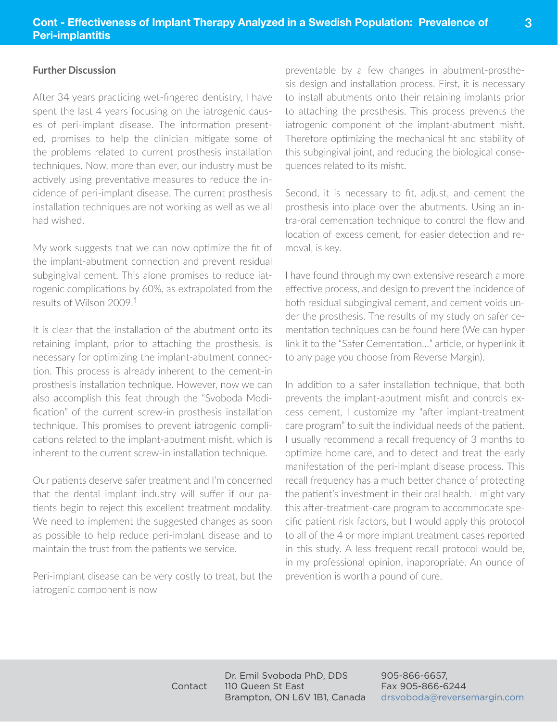### **Further Discussion**

After 34 years practicing wet-fingered dentistry, I have spent the last 4 years focusing on the iatrogenic causes of peri-implant disease. The information presented, promises to help the clinician mitigate some of the problems related to current prosthesis installation techniques. Now, more than ever, our industry must be actively using preventative measures to reduce the incidence of peri-implant disease. The current prosthesis installation techniques are not working as well as we all had wished.

My work suggests that we can now optimize the fit of the implant-abutment connection and prevent residual subgingival cement. This alone promises to reduce iatrogenic complications by 60%, as extrapolated from the results of Wilson 2009.1

It is clear that the installation of the abutment onto its retaining implant, prior to attaching the prosthesis, is necessary for optimizing the implant-abutment connection. This process is already inherent to the cement-in prosthesis installation technique. However, now we can also accomplish this feat through the "Svoboda Modification" of the current screw-in prosthesis installation technique. This promises to prevent iatrogenic complications related to the implant-abutment misfit, which is inherent to the current screw-in installation technique.

Our patients deserve safer treatment and I'm concerned that the dental implant industry will suffer if our patients begin to reject this excellent treatment modality. We need to implement the suggested changes as soon as possible to help reduce peri-implant disease and to maintain the trust from the patients we service.

Peri-implant disease can be very costly to treat, but the iatrogenic component is now

preventable by a few changes in abutment-prosthesis design and installation process. First, it is necessary to install abutments onto their retaining implants prior to attaching the prosthesis. This process prevents the iatrogenic component of the implant-abutment misfit. Therefore optimizing the mechanical fit and stability of this subgingival joint, and reducing the biological consequences related to its misfit.

**3**

Second, it is necessary to fit, adjust, and cement the prosthesis into place over the abutments. Using an intra-oral cementation technique to control the flow and location of excess cement, for easier detection and removal, is key.

I have found through my own extensive research a more effective process, and design to prevent the incidence of both residual subgingival cement, and cement voids under the prosthesis. The results of my study on safer cementation techniques can be found here (We can hyper link it to the "Safer Cementation…" article, or hyperlink it to any page you choose from Reverse Margin).

In addition to a safer installation technique, that both prevents the implant-abutment misfit and controls excess cement, I customize my "after implant-treatment care program" to suit the individual needs of the patient. I usually recommend a recall frequency of 3 months to optimize home care, and to detect and treat the early manifestation of the peri-implant disease process. This recall frequency has a much better chance of protecting the patient's investment in their oral health. I might vary this after-treatment-care program to accommodate specific patient risk factors, but I would apply this protocol to all of the 4 or more implant treatment cases reported in this study. A less frequent recall protocol would be, in my professional opinion, inappropriate. An ounce of prevention is worth a pound of cure.